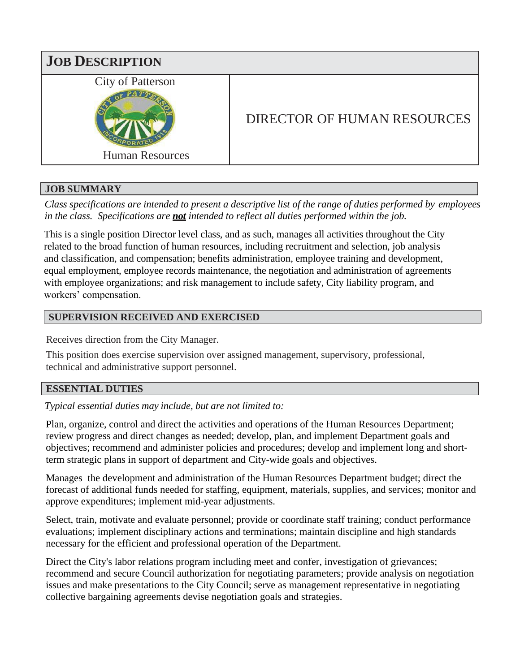

## **JOB SUMMARY**

*Class specifications are intended to present a descriptive list of the range of duties performed by employees in the class. Specifications are not intended to reflect all duties performed within the job.*

This is a single position Director level class, and as such, manages all activities throughout the City related to the broad function of human resources, including recruitment and selection, job analysis and classification, and compensation; benefits administration, employee training and development, equal employment, employee records maintenance, the negotiation and administration of agreements with employee organizations; and risk management to include safety, City liability program, and workers' compensation.

# **SUPERVISION RECEIVED AND EXERCISED**

Receives direction from the City Manager.

This position does exercise supervision over assigned management, supervisory, professional, technical and administrative support personnel.

## **ESSENTIAL DUTIES**

*Typical essential duties may include, but are not limited to:*

Plan, organize, control and direct the activities and operations of the Human Resources Department; review progress and direct changes as needed; develop, plan, and implement Department goals and objectives; recommend and administer policies and procedures; develop and implement long and shortterm strategic plans in support of department and City-wide goals and objectives.

Manages the development and administration of the Human Resources Department budget; direct the forecast of additional funds needed for staffing, equipment, materials, supplies, and services; monitor and approve expenditures; implement mid-year adjustments.

Select, train, motivate and evaluate personnel; provide or coordinate staff training; conduct performance evaluations; implement disciplinary actions and terminations; maintain discipline and high standards necessary for the efficient and professional operation of the Department.

Direct the City's labor relations program including meet and confer, investigation of grievances; recommend and secure Council authorization for negotiating parameters; provide analysis on negotiation issues and make presentations to the City Council; serve as management representative in negotiating collective bargaining agreements devise negotiation goals and strategies.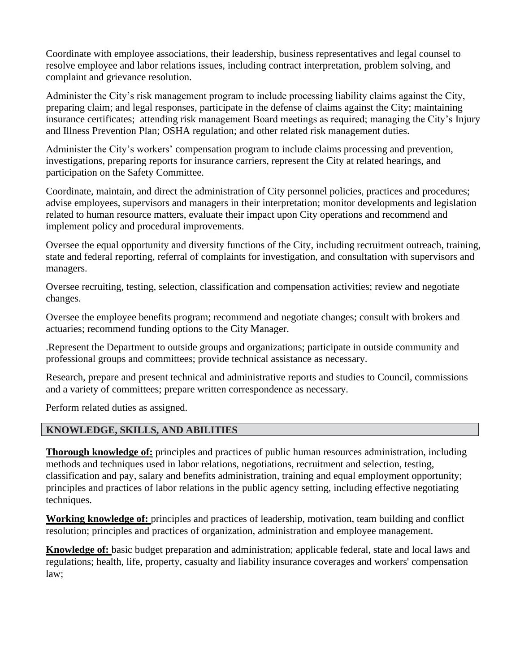Coordinate with employee associations, their leadership, business representatives and legal counsel to resolve employee and labor relations issues, including contract interpretation, problem solving, and complaint and grievance resolution.

Administer the City's risk management program to include processing liability claims against the City, preparing claim; and legal responses, participate in the defense of claims against the City; maintaining insurance certificates; attending risk management Board meetings as required; managing the City's Injury and Illness Prevention Plan; OSHA regulation; and other related risk management duties.

Administer the City's workers' compensation program to include claims processing and prevention, investigations, preparing reports for insurance carriers, represent the City at related hearings, and participation on the Safety Committee.

Coordinate, maintain, and direct the administration of City personnel policies, practices and procedures; advise employees, supervisors and managers in their interpretation; monitor developments and legislation related to human resource matters, evaluate their impact upon City operations and recommend and implement policy and procedural improvements.

Oversee the equal opportunity and diversity functions of the City, including recruitment outreach, training, state and federal reporting, referral of complaints for investigation, and consultation with supervisors and managers.

Oversee recruiting, testing, selection, classification and compensation activities; review and negotiate changes.

Oversee the employee benefits program; recommend and negotiate changes; consult with brokers and actuaries; recommend funding options to the City Manager.

.Represent the Department to outside groups and organizations; participate in outside community and professional groups and committees; provide technical assistance as necessary.

Research, prepare and present technical and administrative reports and studies to Council, commissions and a variety of committees; prepare written correspondence as necessary.

Perform related duties as assigned.

# **KNOWLEDGE, SKILLS, AND ABILITIES**

**Thorough knowledge of:** principles and practices of public human resources administration, including methods and techniques used in labor relations, negotiations, recruitment and selection, testing, classification and pay, salary and benefits administration, training and equal employment opportunity; principles and practices of labor relations in the public agency setting, including effective negotiating techniques.

**Working knowledge of:** principles and practices of leadership, motivation, team building and conflict resolution; principles and practices of organization, administration and employee management.

**Knowledge of:** basic budget preparation and administration; applicable federal, state and local laws and regulations; health, life, property, casualty and liability insurance coverages and workers' compensation law;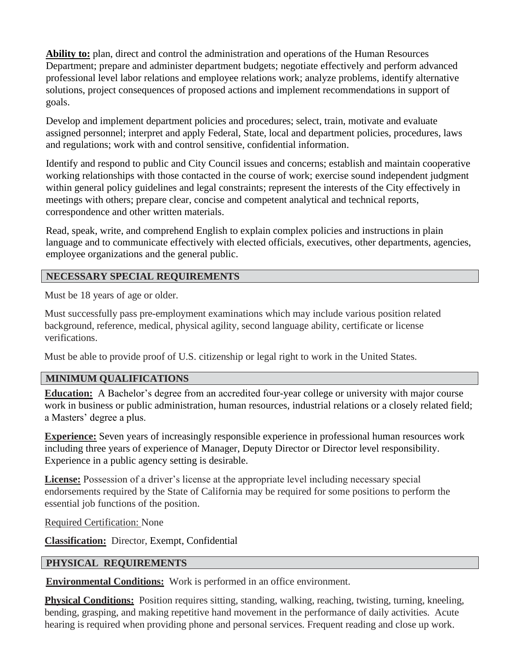**Ability to:** plan, direct and control the administration and operations of the Human Resources Department; prepare and administer department budgets; negotiate effectively and perform advanced professional level labor relations and employee relations work; analyze problems, identify alternative solutions, project consequences of proposed actions and implement recommendations in support of goals.

Develop and implement department policies and procedures; select, train, motivate and evaluate assigned personnel; interpret and apply Federal, State, local and department policies, procedures, laws and regulations; work with and control sensitive, confidential information.

Identify and respond to public and City Council issues and concerns; establish and maintain cooperative working relationships with those contacted in the course of work; exercise sound independent judgment within general policy guidelines and legal constraints; represent the interests of the City effectively in meetings with others; prepare clear, concise and competent analytical and technical reports, correspondence and other written materials.

Read, speak, write, and comprehend English to explain complex policies and instructions in plain language and to communicate effectively with elected officials, executives, other departments, agencies, employee organizations and the general public.

## **NECESSARY SPECIAL REQUIREMENTS**

Must be 18 years of age or older.

Must successfully pass pre-employment examinations which may include various position related background, reference, medical, physical agility, second language ability, certificate or license verifications.

Must be able to provide proof of U.S. citizenship or legal right to work in the United States.

## **MINIMUM QUALIFICATIONS**

**Education:** A Bachelor's degree from an accredited four-year college or university with major course work in business or public administration, human resources, industrial relations or a closely related field; a Masters' degree a plus.

**Experience:** Seven years of increasingly responsible experience in professional human resources work including three years of experience of Manager, Deputy Director or Director level responsibility. Experience in a public agency setting is desirable.

**License:** Possession of a driver's license at the appropriate level including necessary special endorsements required by the State of California may be required for some positions to perform the essential job functions of the position.

Required Certification: None

**Classification:** Director, Exempt, Confidential

## **PHYSICAL REQUIREMENTS**

**Environmental Conditions:** Work is performed in an office environment.

**Physical Conditions:** Position requires sitting, standing, walking, reaching, twisting, turning, kneeling, bending, grasping, and making repetitive hand movement in the performance of daily activities. Acute hearing is required when providing phone and personal services. Frequent reading and close up work.